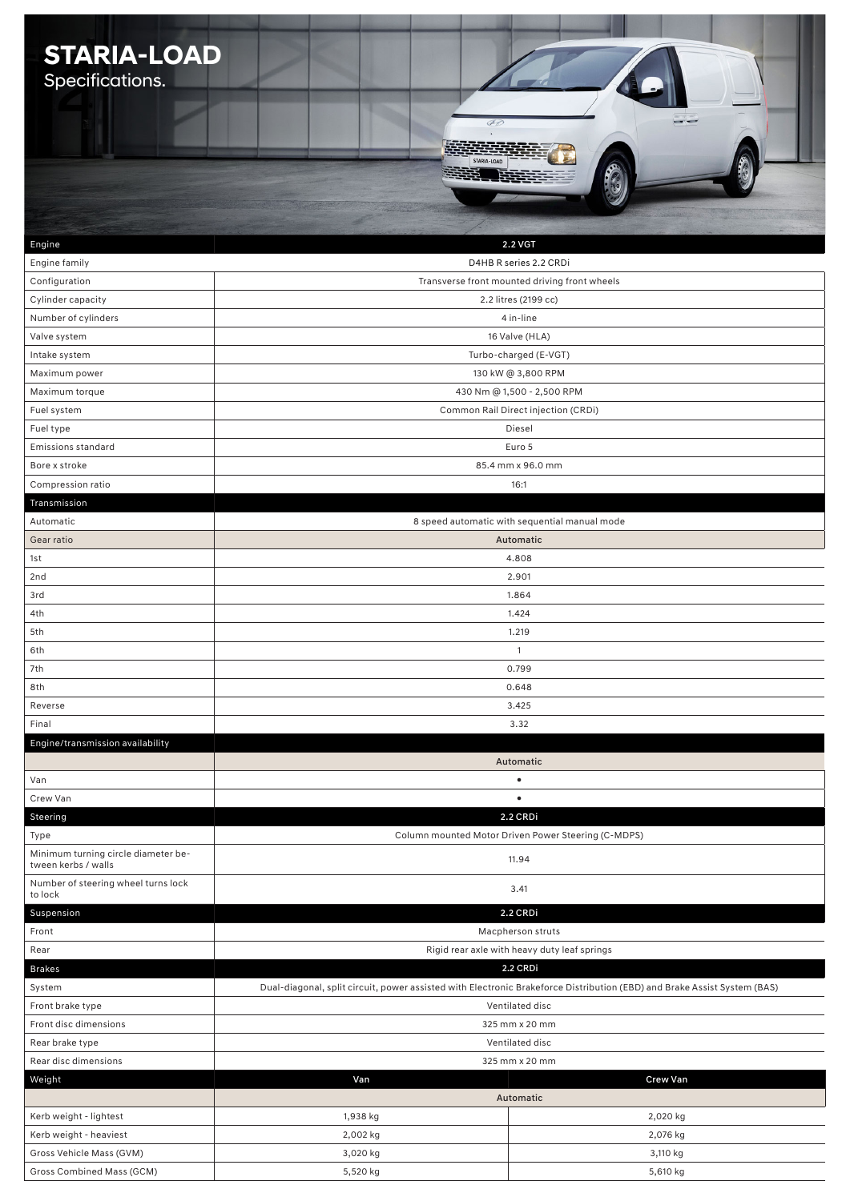| <b>STARIA-LOAD</b>                             |                                                          |                                                                                                                          |  |
|------------------------------------------------|----------------------------------------------------------|--------------------------------------------------------------------------------------------------------------------------|--|
|                                                |                                                          |                                                                                                                          |  |
| Specifications.                                |                                                          |                                                                                                                          |  |
|                                                |                                                          |                                                                                                                          |  |
|                                                | $\mathscr{D}$                                            |                                                                                                                          |  |
|                                                |                                                          |                                                                                                                          |  |
|                                                |                                                          |                                                                                                                          |  |
|                                                |                                                          |                                                                                                                          |  |
|                                                |                                                          |                                                                                                                          |  |
|                                                |                                                          |                                                                                                                          |  |
|                                                |                                                          |                                                                                                                          |  |
| Engine                                         |                                                          | 2.2 VGT                                                                                                                  |  |
| Engine family                                  |                                                          | D4HB R series 2.2 CRDi                                                                                                   |  |
| Configuration                                  |                                                          | Transverse front mounted driving front wheels                                                                            |  |
| Cylinder capacity                              |                                                          | 2.2 litres (2199 cc)                                                                                                     |  |
| Number of cylinders                            |                                                          | 4 in-line                                                                                                                |  |
| Valve system                                   |                                                          | 16 Valve (HLA)                                                                                                           |  |
| Intake system                                  |                                                          | Turbo-charged (E-VGT)                                                                                                    |  |
|                                                |                                                          |                                                                                                                          |  |
| Maximum power                                  |                                                          | 130 kW @ 3,800 RPM                                                                                                       |  |
| Maximum torque                                 |                                                          | 430 Nm @ 1,500 - 2,500 RPM                                                                                               |  |
| Fuel system                                    |                                                          | Common Rail Direct injection (CRDi)                                                                                      |  |
| Fuel type                                      |                                                          | Diesel                                                                                                                   |  |
| <b>Emissions standard</b>                      |                                                          | Euro 5                                                                                                                   |  |
| Bore x stroke                                  |                                                          | 85.4 mm x 96.0 mm                                                                                                        |  |
| Compression ratio                              |                                                          | 16:1                                                                                                                     |  |
| Transmission                                   |                                                          |                                                                                                                          |  |
| Automatic                                      | 8 speed automatic with sequential manual mode            |                                                                                                                          |  |
| Gear ratio                                     | Automatic                                                |                                                                                                                          |  |
| 1st                                            |                                                          | 4.808                                                                                                                    |  |
| 2nd                                            |                                                          | 2.901                                                                                                                    |  |
| 3rd                                            | 1.864                                                    |                                                                                                                          |  |
| 4th                                            |                                                          |                                                                                                                          |  |
| 5th                                            | 1.424                                                    |                                                                                                                          |  |
|                                                | 1.219                                                    |                                                                                                                          |  |
| 6th                                            | 1                                                        |                                                                                                                          |  |
| 7th                                            |                                                          | 0.799                                                                                                                    |  |
| 8th                                            |                                                          | 0.648                                                                                                                    |  |
| Reverse                                        |                                                          | 3.425                                                                                                                    |  |
| Final                                          |                                                          | 3.32                                                                                                                     |  |
| Engine/transmission availability               |                                                          |                                                                                                                          |  |
|                                                |                                                          | Automatic                                                                                                                |  |
| Van                                            |                                                          | $\bullet$                                                                                                                |  |
| Crew Van                                       |                                                          | $\bullet$                                                                                                                |  |
| Steering                                       |                                                          | 2.2 CRDi                                                                                                                 |  |
| Type                                           |                                                          | Column mounted Motor Driven Power Steering (C-MDPS)                                                                      |  |
| Minimum turning circle diameter be-            |                                                          | 11.94                                                                                                                    |  |
| tween kerbs / walls                            |                                                          |                                                                                                                          |  |
| Number of steering wheel turns lock<br>to lock |                                                          | 3.41                                                                                                                     |  |
| Suspension                                     |                                                          | 2.2 CRDi                                                                                                                 |  |
| Front                                          |                                                          |                                                                                                                          |  |
| Rear                                           | Macpherson struts                                        |                                                                                                                          |  |
|                                                | Rigid rear axle with heavy duty leaf springs<br>2.2 CRDi |                                                                                                                          |  |
| <b>Brakes</b>                                  |                                                          |                                                                                                                          |  |
| System                                         |                                                          | Dual-diagonal, split circuit, power assisted with Electronic Brakeforce Distribution (EBD) and Brake Assist System (BAS) |  |
| Front brake type                               | Ventilated disc                                          |                                                                                                                          |  |
| Front disc dimensions                          | 325 mm x 20 mm                                           |                                                                                                                          |  |
| Rear brake type                                | Ventilated disc                                          |                                                                                                                          |  |
| Rear disc dimensions                           | 325 mm x 20 mm                                           |                                                                                                                          |  |
| Weight                                         | Van                                                      | <b>Crew Van</b>                                                                                                          |  |
|                                                |                                                          | Automatic                                                                                                                |  |
| Kerb weight - lightest                         | 1,938 kg                                                 | 2,020 kg                                                                                                                 |  |
| Kerb weight - heaviest                         | 2,002 kg                                                 | 2,076 kg                                                                                                                 |  |
| Gross Vehicle Mass (GVM)                       | 3,020 kg                                                 | 3,110 kg                                                                                                                 |  |
| Gross Combined Mass (GCM)                      | 5,520 kg<br>5,610 kg                                     |                                                                                                                          |  |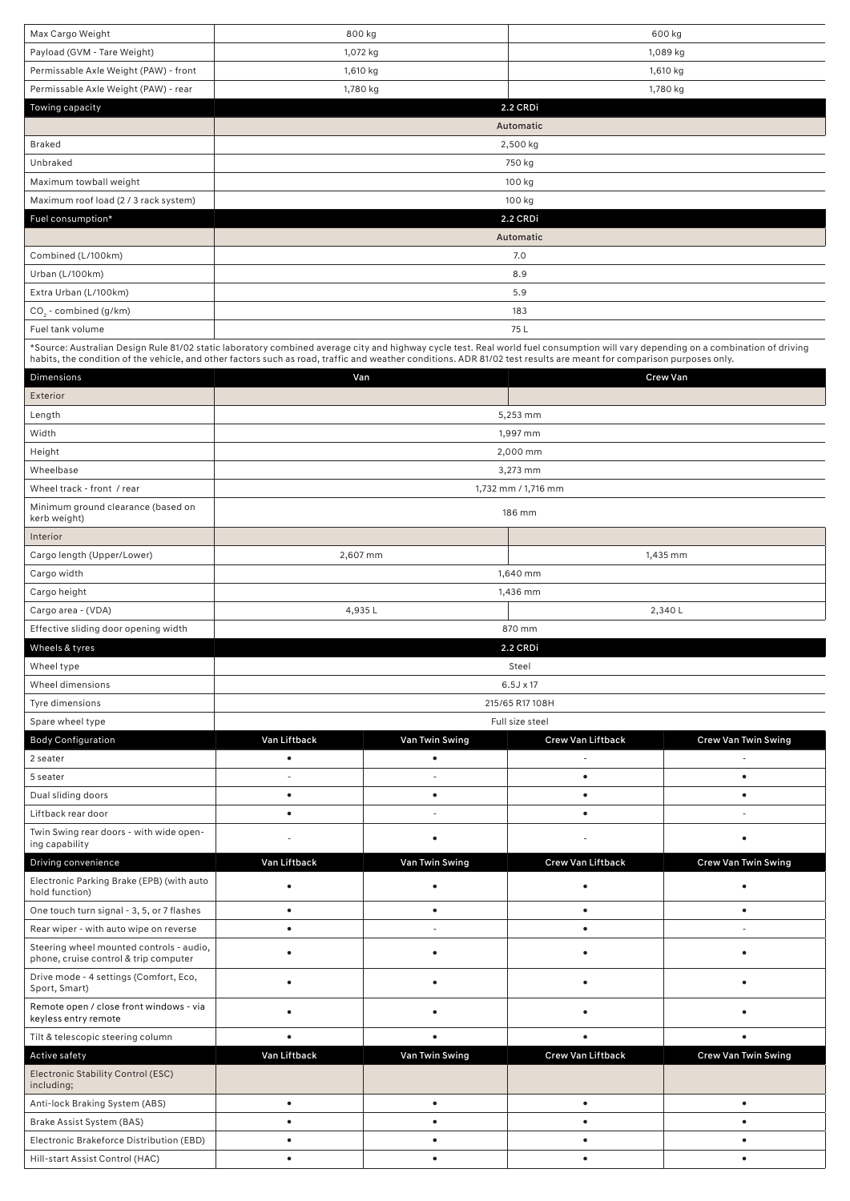| Max Cargo Weight                                                                                                                                                                   | 800 kg<br>600 kg                                 |                                       |                          |                            |  |
|------------------------------------------------------------------------------------------------------------------------------------------------------------------------------------|--------------------------------------------------|---------------------------------------|--------------------------|----------------------------|--|
| Payload (GVM - Tare Weight)                                                                                                                                                        | 1,072 kg                                         |                                       |                          | 1,089 kg                   |  |
| Permissable Axle Weight (PAW) - front                                                                                                                                              | 1,610 kg                                         |                                       |                          | 1,610 kg                   |  |
| Permissable Axle Weight (PAW) - rear                                                                                                                                               | 1,780 kg<br>1,780 kg                             |                                       |                          |                            |  |
| Towing capacity                                                                                                                                                                    |                                                  |                                       | 2.2 CRDi                 |                            |  |
|                                                                                                                                                                                    |                                                  |                                       | Automatic                |                            |  |
| <b>Braked</b>                                                                                                                                                                      |                                                  |                                       | 2,500 kg                 |                            |  |
| Unbraked                                                                                                                                                                           |                                                  |                                       | 750 kg                   |                            |  |
| Maximum towball weight                                                                                                                                                             |                                                  |                                       | 100 kg                   |                            |  |
| Maximum roof load (2 / 3 rack system)                                                                                                                                              |                                                  |                                       | 100 kg                   |                            |  |
| Fuel consumption*                                                                                                                                                                  |                                                  |                                       | 2.2 CRDi                 |                            |  |
|                                                                                                                                                                                    |                                                  |                                       | Automatic                |                            |  |
| Combined (L/100km)                                                                                                                                                                 |                                                  |                                       | 7.0                      |                            |  |
| Urban (L/100km)                                                                                                                                                                    |                                                  |                                       | 8.9                      |                            |  |
| Extra Urban (L/100km)                                                                                                                                                              |                                                  |                                       | 5.9                      |                            |  |
| $CO2$ - combined (g/km)                                                                                                                                                            |                                                  |                                       | 183                      |                            |  |
| Fuel tank volume                                                                                                                                                                   |                                                  |                                       | 75 L                     |                            |  |
| *Source: Australian Design Rule 81/02 static laboratory combined average city and highway cycle test. Real world fuel consumption will vary depending on a combination of driving  |                                                  |                                       |                          |                            |  |
| habits, the condition of the vehicle, and other factors such as road, traffic and weather conditions. ADR 81/02 test results are meant for comparison purposes only.<br>Dimensions | Van                                              |                                       |                          | <b>Crew Van</b>            |  |
| Exterior                                                                                                                                                                           |                                                  |                                       |                          |                            |  |
| Length                                                                                                                                                                             |                                                  |                                       | 5,253 mm                 |                            |  |
| Width                                                                                                                                                                              |                                                  |                                       | 1,997 mm                 |                            |  |
| Height                                                                                                                                                                             |                                                  |                                       | 2,000 mm                 |                            |  |
| Wheelbase                                                                                                                                                                          |                                                  |                                       | 3,273 mm                 |                            |  |
| Wheel track - front / rear                                                                                                                                                         |                                                  |                                       | 1,732 mm / 1,716 mm      |                            |  |
| Minimum ground clearance (based on                                                                                                                                                 |                                                  |                                       |                          |                            |  |
| kerb weight)                                                                                                                                                                       |                                                  |                                       | 186 mm                   |                            |  |
| Interior                                                                                                                                                                           |                                                  |                                       |                          |                            |  |
| Cargo length (Upper/Lower)                                                                                                                                                         | 2,607 mm                                         |                                       |                          | 1,435 mm                   |  |
| Cargo width                                                                                                                                                                        |                                                  |                                       | 1,640 mm                 |                            |  |
| Cargo height                                                                                                                                                                       | 1,436 mm                                         |                                       |                          |                            |  |
| Cargo area - (VDA)                                                                                                                                                                 | 4,935L                                           |                                       |                          | 2,340L                     |  |
| Effective sliding door opening width                                                                                                                                               |                                                  |                                       | 870 mm                   |                            |  |
| Wheels & tyres                                                                                                                                                                     |                                                  |                                       | 2.2 CRDi                 |                            |  |
| Wheel type                                                                                                                                                                         |                                                  |                                       | Steel                    |                            |  |
| Wheel dimensions                                                                                                                                                                   |                                                  |                                       | 6.5J x 17                |                            |  |
| Tyre dimensions                                                                                                                                                                    |                                                  |                                       | 215/65 R17 108H          |                            |  |
| Spare wheel type                                                                                                                                                                   |                                                  |                                       | Full size steel          |                            |  |
| <b>Body Configuration</b>                                                                                                                                                          | Van Liftback                                     | Van Twin Swing                        | <b>Crew Van Liftback</b> | Crew Van Twin Swing        |  |
| 2 seater                                                                                                                                                                           | $\bullet$                                        | $\bullet$                             |                          |                            |  |
| 5 seater                                                                                                                                                                           |                                                  |                                       | $\bullet$                | $\bullet$                  |  |
| Dual sliding doors<br>Liftback rear door                                                                                                                                           | $\bullet$<br>$\bullet$                           | $\bullet$<br>$\overline{\phantom{a}}$ | $\bullet$                | $\bullet$<br>$\sim$        |  |
| Twin Swing rear doors - with wide open-                                                                                                                                            |                                                  |                                       | $\bullet$                |                            |  |
| ing capability                                                                                                                                                                     | $\overline{a}$                                   | ٠                                     |                          | $\bullet$                  |  |
| Driving convenience                                                                                                                                                                | Van Liftback                                     | Van Twin Swing                        | Crew Van Liftback        | Crew Van Twin Swing        |  |
| Electronic Parking Brake (EPB) (with auto                                                                                                                                          | $\bullet$                                        | $\bullet$                             | $\bullet$                | $\bullet$                  |  |
| hold function)                                                                                                                                                                     |                                                  |                                       |                          |                            |  |
| One touch turn signal - 3, 5, or 7 flashes                                                                                                                                         | $\bullet$                                        | $\bullet$                             | $\bullet$                | $\bullet$                  |  |
| Rear wiper - with auto wipe on reverse                                                                                                                                             | $\bullet$                                        |                                       | $\bullet$                | $\sim$                     |  |
| Steering wheel mounted controls - audio,<br>phone, cruise control & trip computer                                                                                                  | ٠                                                | ٠                                     | $\bullet$                | ٠                          |  |
| Drive mode - 4 settings (Comfort, Eco,<br>Sport, Smart)                                                                                                                            | ٠                                                | ٠                                     | $\bullet$                | ٠                          |  |
| Remote open / close front windows - via                                                                                                                                            | ٠                                                | $\bullet$                             | $\bullet$                | $\bullet$                  |  |
| keyless entry remote                                                                                                                                                               |                                                  |                                       |                          |                            |  |
| Tilt & telescopic steering column                                                                                                                                                  | $\bullet$<br>$\bullet$<br>$\bullet$<br>$\bullet$ |                                       |                          |                            |  |
| Active safety                                                                                                                                                                      | Van Liftback                                     | Van Twin Swing                        | Crew Van Liftback        | <b>Crew Van Twin Swing</b> |  |
| Electronic Stability Control (ESC)<br>including;                                                                                                                                   |                                                  |                                       |                          |                            |  |
| Anti-lock Braking System (ABS)                                                                                                                                                     | $\bullet$                                        | $\bullet$                             | $\bullet$                | $\bullet$                  |  |
| Brake Assist System (BAS)                                                                                                                                                          | $\bullet$                                        | $\bullet$                             | $\bullet$                | $\bullet$                  |  |
| Electronic Brakeforce Distribution (EBD)                                                                                                                                           | ٠                                                | $\bullet$                             | $\bullet$                | $\bullet$                  |  |
| Hill-start Assist Control (HAC)                                                                                                                                                    | $\bullet$                                        | $\bullet$                             | $\bullet$                | $\bullet$                  |  |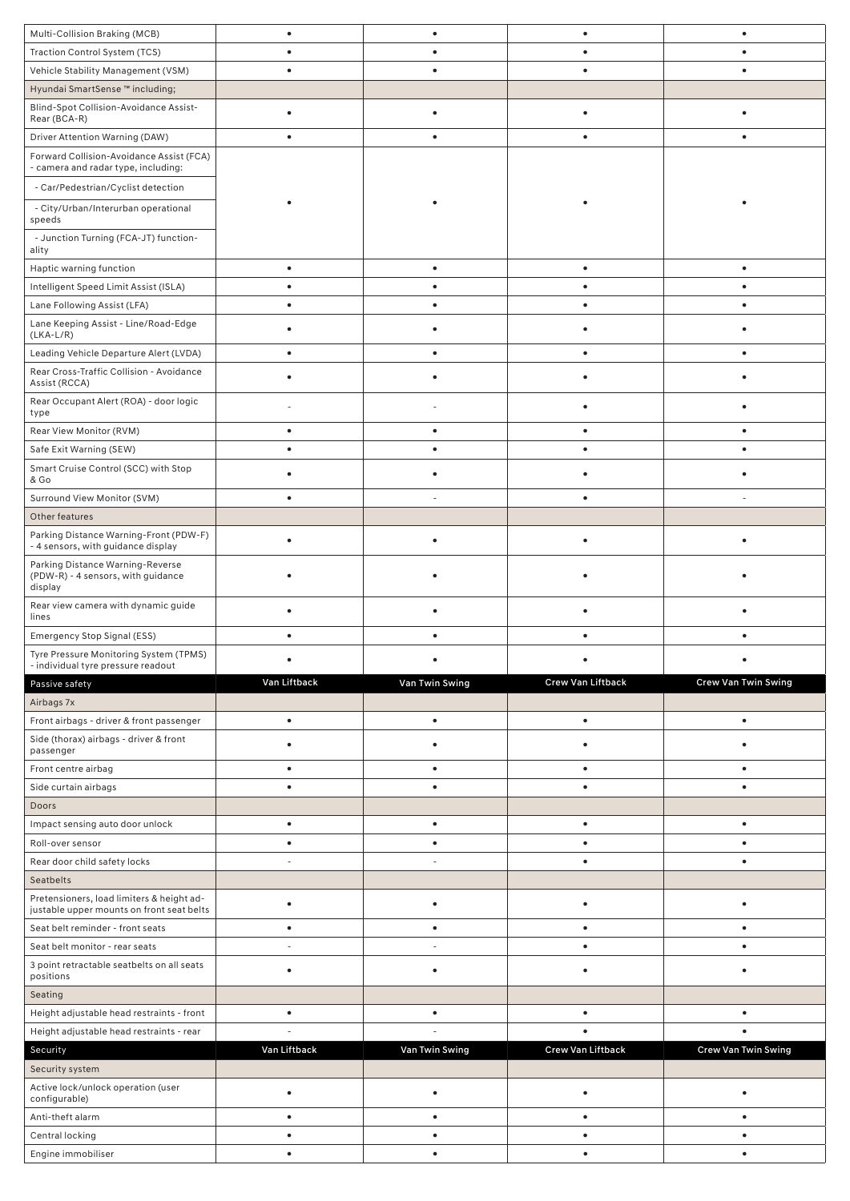| Multi-Collision Braking (MCB)                                                          | $\bullet$    | $\bullet$      | $\bullet$         | $\bullet$           |
|----------------------------------------------------------------------------------------|--------------|----------------|-------------------|---------------------|
| Traction Control System (TCS)                                                          | $\bullet$    | $\bullet$      | ٠                 | $\bullet$           |
| Vehicle Stability Management (VSM)                                                     | $\bullet$    | $\bullet$      | $\bullet$         | $\bullet$           |
| Hyundai SmartSense ™ including;                                                        |              |                |                   |                     |
| Blind-Spot Collision-Avoidance Assist-<br>Rear (BCA-R)                                 | $\bullet$    | ٠              | $\bullet$         | $\bullet$           |
| Driver Attention Warning (DAW)                                                         | ٠            | $\bullet$      | $\bullet$         | ٠                   |
| Forward Collision-Avoidance Assist (FCA)                                               |              |                |                   |                     |
| - camera and radar type, including:                                                    |              |                |                   |                     |
| - Car/Pedestrian/Cyclist detection                                                     |              |                |                   |                     |
| - City/Urban/Interurban operational<br>speeds                                          |              |                |                   |                     |
| - Junction Turning (FCA-JT) function-<br>ality                                         |              |                |                   |                     |
| Haptic warning function                                                                | $\bullet$    | $\bullet$      | $\bullet$         | $\bullet$           |
| Intelligent Speed Limit Assist (ISLA)                                                  | $\bullet$    | $\bullet$      | $\bullet$         | $\bullet$           |
| Lane Following Assist (LFA)                                                            |              |                | $\bullet$         |                     |
| Lane Keeping Assist - Line/Road-Edge                                                   |              |                |                   |                     |
| $(LKA-L/R)$<br>Leading Vehicle Departure Alert (LVDA)                                  | $\bullet$    | $\bullet$      | $\bullet$         | ٠                   |
| Rear Cross-Traffic Collision - Avoidance                                               |              |                |                   |                     |
| Assist (RCCA)                                                                          | ٠            |                |                   |                     |
| Rear Occupant Alert (ROA) - door logic<br>type                                         |              |                | ٠                 |                     |
| Rear View Monitor (RVM)                                                                | $\bullet$    |                | ٠                 | $\bullet$           |
| Safe Exit Warning (SEW)                                                                | $\bullet$    | $\bullet$      | $\bullet$         | $\bullet$           |
| Smart Cruise Control (SCC) with Stop<br>& Go                                           |              |                |                   |                     |
| Surround View Monitor (SVM)                                                            | $\bullet$    |                | $\bullet$         |                     |
| Other features                                                                         |              |                |                   |                     |
| Parking Distance Warning-Front (PDW-F)                                                 | $\bullet$    | ٠              | ٠                 | ٠                   |
| - 4 sensors, with guidance display<br>Parking Distance Warning-Reverse                 |              |                |                   |                     |
| (PDW-R) - 4 sensors, with guidance<br>display                                          |              |                |                   |                     |
| Rear view camera with dynamic guide<br>lines                                           | $\bullet$    |                | ٠                 |                     |
| Emergency Stop Signal (ESS)                                                            | ٠            |                | ٠                 |                     |
| Tyre Pressure Monitoring System (TPMS)                                                 |              |                |                   |                     |
| - individual tyre pressure readout<br>Passive safety                                   | Van Liftback | Van Twin Swing | Crew Van Liftback | Crew Van Twin Swing |
| Airbags 7x                                                                             |              |                |                   |                     |
| Front airbags - driver & front passenger                                               | $\bullet$    | $\bullet$      | $\bullet$         | $\bullet$           |
| Side (thorax) airbags - driver & front                                                 |              |                |                   |                     |
| passenger                                                                              | ٠            | ٠              | ٠                 | ٠                   |
| Front centre airbag                                                                    | $\bullet$    | $\bullet$      | $\bullet$         | $\bullet$           |
| Side curtain airbags                                                                   | $\bullet$    | $\bullet$      | $\bullet$         | $\bullet$           |
| Doors                                                                                  |              |                |                   |                     |
| Impact sensing auto door unlock                                                        | $\bullet$    | $\bullet$      | $\bullet$         | $\bullet$           |
| Roll-over sensor                                                                       | $\bullet$    | $\bullet$      | $\bullet$         | $\bullet$           |
| Rear door child safety locks                                                           |              |                |                   |                     |
| Seatbelts                                                                              |              |                |                   |                     |
| Pretensioners, load limiters & height ad-<br>justable upper mounts on front seat belts | ٠            |                |                   |                     |
| Seat belt reminder - front seats                                                       | $\bullet$    | $\bullet$      | $\bullet$         | $\bullet$           |
| Seat belt monitor - rear seats                                                         |              |                | $\bullet$         | $\bullet$           |
| 3 point retractable seatbelts on all seats<br>positions                                | $\bullet$    | ٠              | $\bullet$         | $\bullet$           |
| Seating                                                                                |              |                |                   |                     |
| Height adjustable head restraints - front                                              | $\bullet$    | $\bullet$      | $\bullet$         | $\bullet$           |
| Height adjustable head restraints - rear                                               |              |                |                   |                     |
| Security                                                                               | Van Liftback | Van Twin Swing | Crew Van Liftback | Crew Van Twin Swing |
| Security system                                                                        |              |                |                   |                     |
| Active lock/unlock operation (user<br>configurable)                                    | $\bullet$    | ٠              | $\bullet$         | $\bullet$           |
| Anti-theft alarm                                                                       | $\bullet$    | ٠              | $\bullet$         | $\bullet$           |
| Central locking                                                                        | $\bullet$    | ٠              | $\bullet$         | $\bullet$           |
| Engine immobiliser                                                                     | $\bullet$    | $\bullet$      | $\bullet$         | $\bullet$           |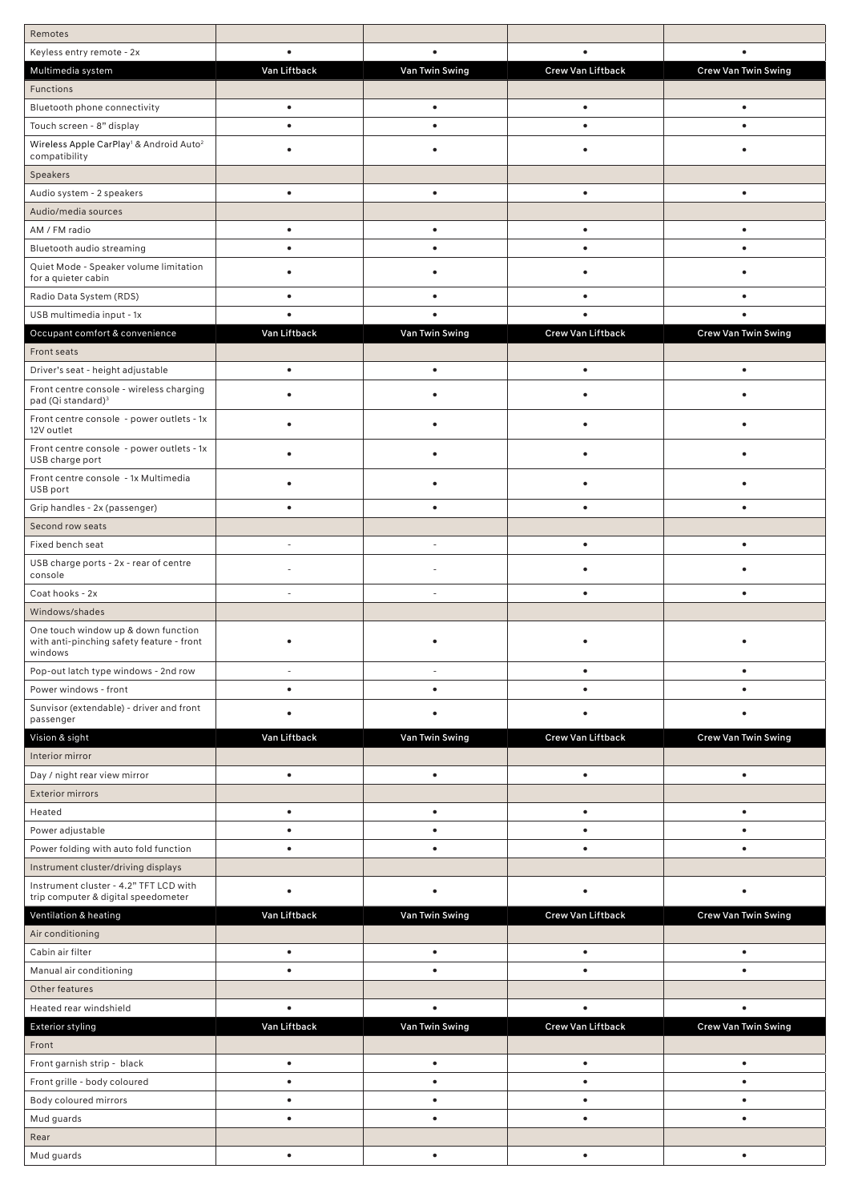| Remotes                                                                                     |              |                      |                   |                            |
|---------------------------------------------------------------------------------------------|--------------|----------------------|-------------------|----------------------------|
| Keyless entry remote - 2x                                                                   | $\bullet$    | $\bullet$            | $\bullet$         | $\bullet$                  |
| Multimedia system                                                                           | Van Liftback | Van Twin Swing       | Crew Van Liftback | Crew Van Twin Swing        |
| Functions                                                                                   |              |                      |                   |                            |
| Bluetooth phone connectivity                                                                | $\bullet$    | $\bullet$            | $\bullet$         | $\bullet$                  |
| Touch screen - 8" display                                                                   | $\bullet$    | $\bullet$            | $\bullet$         | $\bullet$                  |
| Wireless Apple CarPlay <sup>1</sup> & Android Auto <sup>2</sup><br>compatibility            |              |                      |                   |                            |
| Speakers                                                                                    |              |                      |                   |                            |
| Audio system - 2 speakers                                                                   | ٠            |                      | ٠                 | $\bullet$                  |
| Audio/media sources                                                                         |              |                      |                   |                            |
| AM / FM radio                                                                               | $\bullet$    | $\bullet$            | $\bullet$         | $\bullet$                  |
| Bluetooth audio streaming                                                                   | $\bullet$    | $\bullet$            | $\bullet$         | $\bullet$                  |
| Quiet Mode - Speaker volume limitation<br>for a quieter cabin                               | ٠            |                      | ٠                 |                            |
| Radio Data System (RDS)                                                                     | $\bullet$    |                      | ٠                 | $\bullet$                  |
| USB multimedia input - 1x                                                                   | $\bullet$    | $\bullet$            | $\bullet$         | $\bullet$                  |
| Occupant comfort & convenience                                                              | Van Liftback | Van Twin Swing       | Crew Van Liftback | <b>Crew Van Twin Swing</b> |
| Front seats                                                                                 |              |                      |                   |                            |
| Driver's seat - height adjustable                                                           | $\bullet$    | $\bullet$            | $\bullet$         | $\bullet$                  |
| Front centre console - wireless charging<br>pad (Qi standard) <sup>3</sup>                  | ٠            |                      |                   |                            |
| Front centre console - power outlets - 1x<br>12V outlet                                     | ٠            |                      |                   |                            |
| Front centre console - power outlets - 1x<br>USB charge port                                | $\bullet$    | ٠                    | $\bullet$         | $\bullet$                  |
| Front centre console - 1x Multimedia<br>USB port                                            | ٠            |                      |                   |                            |
| Grip handles - 2x (passenger)                                                               | $\bullet$    | $\bullet$            | $\bullet$         | $\bullet$                  |
| Second row seats                                                                            |              |                      |                   |                            |
| Fixed bench seat                                                                            |              | ä,                   | $\bullet$         | $\bullet$                  |
| USB charge ports - 2x - rear of centre<br>console                                           |              |                      |                   |                            |
| Coat hooks - 2x                                                                             |              |                      | $\bullet$         | $\bullet$                  |
| Windows/shades                                                                              |              |                      |                   |                            |
| One touch window up & down function<br>with anti-pinching safety feature - front<br>windows |              |                      |                   |                            |
| Pop-out latch type windows - 2nd row                                                        |              | $\ddot{\phantom{1}}$ | $\bullet$         | $\bullet$                  |
| Power windows - front                                                                       | $\bullet$    | $\bullet$            |                   |                            |
| Sunvisor (extendable) - driver and front                                                    | ٠            |                      |                   |                            |
| passenger                                                                                   |              |                      |                   |                            |
| Vision & sight                                                                              | Van Liftback | Van Twin Swing       | Crew Van Liftback | <b>Crew Van Twin Swing</b> |
| Interior mirror                                                                             |              |                      |                   |                            |
| Day / night rear view mirror                                                                | $\bullet$    | $\bullet$            | $\bullet$         | $\bullet$                  |
| <b>Exterior mirrors</b>                                                                     |              |                      |                   |                            |
| Heated                                                                                      | $\bullet$    | $\bullet$            | $\bullet$         | $\bullet$                  |
| Power adjustable                                                                            | $\bullet$    | $\bullet$            | $\bullet$         | $\bullet$                  |
| Power folding with auto fold function                                                       | $\bullet$    | $\bullet$            | $\bullet$         | $\bullet$                  |
| Instrument cluster/driving displays                                                         |              |                      |                   |                            |
| Instrument cluster - 4.2" TFT LCD with<br>trip computer & digital speedometer               | $\bullet$    | ٠                    | $\bullet$         | $\bullet$                  |
| Ventilation & heating                                                                       | Van Liftback | Van Twin Swing       | Crew Van Liftback | Crew Van Twin Swing        |
| Air conditioning                                                                            |              |                      |                   |                            |
| Cabin air filter                                                                            | $\bullet$    | $\bullet$            | $\bullet$         | $\bullet$                  |
| Manual air conditioning                                                                     | $\bullet$    | $\bullet$            | $\bullet$         | $\bullet$                  |
| Other features                                                                              |              |                      |                   |                            |
| Heated rear windshield                                                                      | $\bullet$    | $\bullet$            | $\bullet$         | $\bullet$                  |
| <b>Exterior styling</b>                                                                     | Van Liftback | Van Twin Swing       | Crew Van Liftback | Crew Van Twin Swing        |
| Front                                                                                       |              |                      |                   |                            |
| Front garnish strip - black                                                                 | $\bullet$    | $\bullet$            | $\bullet$         | $\bullet$                  |
| Front grille - body coloured                                                                | $\bullet$    | $\bullet$            | $\bullet$         | $\bullet$                  |
| Body coloured mirrors                                                                       | $\bullet$    | ٠                    | $\bullet$         | $\bullet$                  |
| Mud guards                                                                                  | $\bullet$    | $\bullet$            | $\bullet$         | $\bullet$                  |
| Rear                                                                                        |              |                      |                   |                            |
| Mud guards                                                                                  | $\bullet$    | $\bullet$            | $\bullet$         | $\bullet$                  |